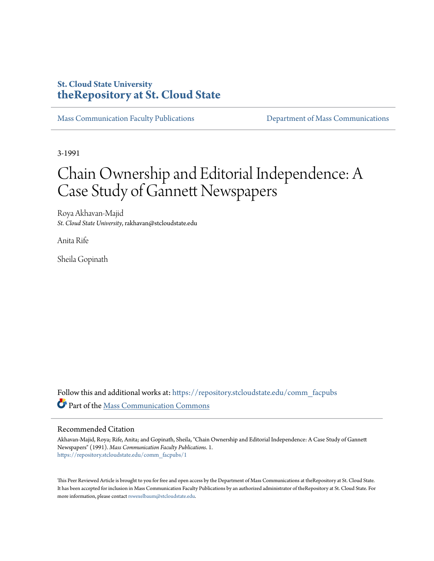## **St. Cloud State University [theRepository at St. Cloud State](https://repository.stcloudstate.edu?utm_source=repository.stcloudstate.edu%2Fcomm_facpubs%2F1&utm_medium=PDF&utm_campaign=PDFCoverPages)**

[Mass Communication Faculty Publications](https://repository.stcloudstate.edu/comm_facpubs?utm_source=repository.stcloudstate.edu%2Fcomm_facpubs%2F1&utm_medium=PDF&utm_campaign=PDFCoverPages) [Department of Mass Communications](https://repository.stcloudstate.edu/comm?utm_source=repository.stcloudstate.edu%2Fcomm_facpubs%2F1&utm_medium=PDF&utm_campaign=PDFCoverPages)

3-1991

# Chain Ownership and Editorial Independence: A Case Study of Gannett Newspapers

Roya Akhavan-Majid *St. Cloud State University*, rakhavan@stcloudstate.edu

Anita Rife

Sheila Gopinath

Follow this and additional works at: [https://repository.stcloudstate.edu/comm\\_facpubs](https://repository.stcloudstate.edu/comm_facpubs?utm_source=repository.stcloudstate.edu%2Fcomm_facpubs%2F1&utm_medium=PDF&utm_campaign=PDFCoverPages) Part of the [Mass Communication Commons](http://network.bepress.com/hgg/discipline/334?utm_source=repository.stcloudstate.edu%2Fcomm_facpubs%2F1&utm_medium=PDF&utm_campaign=PDFCoverPages)

### Recommended Citation

Akhavan-Majid, Roya; Rife, Anita; and Gopinath, Sheila, "Chain Ownership and Editorial Independence: A Case Study of Gannett Newspapers" (1991). *Mass Communication Faculty Publications*. 1. [https://repository.stcloudstate.edu/comm\\_facpubs/1](https://repository.stcloudstate.edu/comm_facpubs/1?utm_source=repository.stcloudstate.edu%2Fcomm_facpubs%2F1&utm_medium=PDF&utm_campaign=PDFCoverPages)

This Peer Reviewed Article is brought to you for free and open access by the Department of Mass Communications at theRepository at St. Cloud State. It has been accepted for inclusion in Mass Communication Faculty Publications by an authorized administrator of theRepository at St. Cloud State. For more information, please contact [rswexelbaum@stcloudstate.edu](mailto:rswexelbaum@stcloudstate.edu).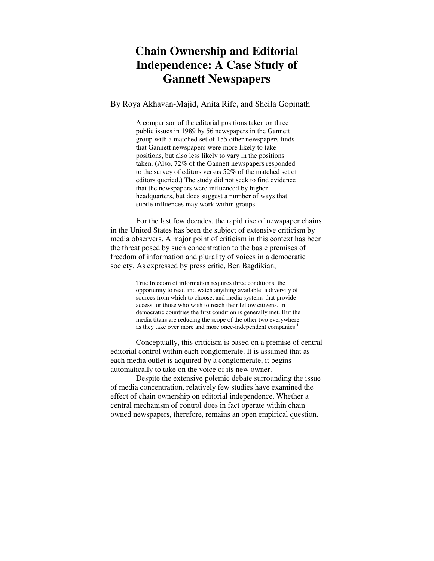# **Chain Ownership and Editorial Independence: A Case Study of Gannett Newspapers**

## By Roya Akhavan-Majid, Anita Rife, and Sheila Gopinath

A comparison of the editorial positions taken on three public issues in 1989 by 56 newspapers in the Gannett group with a matched set of 155 other newspapers finds that Gannett newspapers were more likely to take positions, but also less likely to vary in the positions taken. (Also, 72% of the Gannett newspapers responded to the survey of editors versus 52% of the matched set of editors queried.) The study did not seek to find evidence that the newspapers were influenced by higher headquarters, but does suggest a number of ways that subtle influences may work within groups.

For the last few decades, the rapid rise of newspaper chains in the United States has been the subject of extensive criticism by media observers. A major point of criticism in this context has been the threat posed by such concentration to the basic premises of freedom of information and plurality of voices in a democratic society. As expressed by press critic, Ben Bagdikian,

> True freedom of information requires three conditions: the opportunity to read and watch anything available; a diversity of sources from which to choose; and media systems that provide access for those who wish to reach their fellow citizens. In democratic countries the first condition is generally met. But the media titans are reducing the scope of the other two everywhere as they take over more and more once-independent companies.<sup>1</sup>

Conceptually, this criticism is based on a premise of central editorial control within each conglomerate. It is assumed that as each media outlet is acquired by a conglomerate, it begins automatically to take on the voice of its new owner.

Despite the extensive polemic debate surrounding the issue of media concentration, relatively few studies have examined the effect of chain ownership on editorial independence. Whether a central mechanism of control does in fact operate within chain owned newspapers, therefore, remains an open empirical question.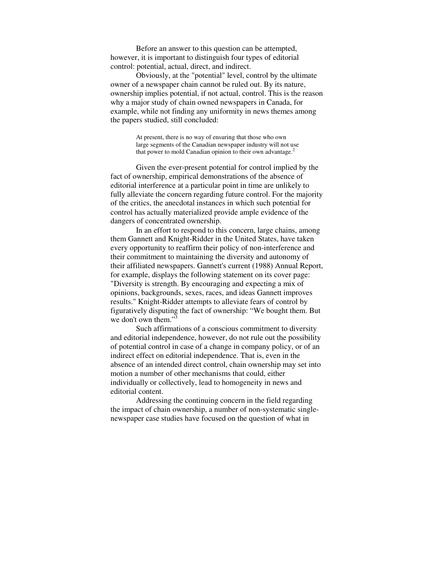Before an answer to this question can be attempted, however, it is important to distinguish four types of editorial control: potential, actual, direct, and indirect.

Obviously, at the "potential" level, control by the ultimate owner of a newspaper chain cannot be ruled out. By its nature, ownership implies potential, if not actual, control. This is the reason why a major study of chain owned newspapers in Canada, for example, while not finding any uniformity in news themes among the papers studied, still concluded:

> At present, there is no way of ensuring that those who own large segments of the Canadian newspaper industry will not use that power to mold Canadian opinion to their own advantage.<sup>2</sup>

Given the ever-present potential for control implied by the fact of ownership, empirical demonstrations of the absence of editorial interference at a particular point in time are unlikely to fully alleviate the concern regarding future control. For the majority of the critics, the anecdotal instances in which such potential for control has actually materialized provide ample evidence of the dangers of concentrated ownership.

In an effort to respond to this concern, large chains, among them Gannett and Knight-Ridder in the United States, have taken every opportunity to reaffirm their policy of non-interference and their commitment to maintaining the diversity and autonomy of their affiliated newspapers. Gannett's current (1988) Annual Report, for example, displays the following statement on its cover page: "Diversity is strength. By encouraging and expecting a mix of opinions, backgrounds, sexes, races, and ideas Gannett improves results." Knight-Ridder attempts to alleviate fears of control by figuratively disputing the fact of ownership: "We bought them. But we don't own them."<sup>3</sup>

Such affirmations of a conscious commitment to diversity and editorial independence, however, do not rule out the possibility of potential control in case of a change in company policy, or of an indirect effect on editorial independence. That is, even in the absence of an intended direct control, chain ownership may set into motion a number of other mechanisms that could, either individually or collectively, lead to homogeneity in news and editorial content.

Addressing the continuing concern in the field regarding the impact of chain ownership, a number of non-systematic singlenewspaper case studies have focused on the question of what in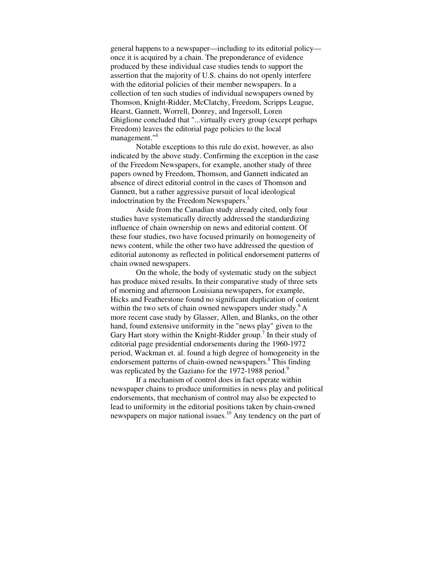general happens to a newspaper—including to its editorial policy once it is acquired by a chain. The preponderance of evidence produced by these individual case studies tends to support the assertion that the majority of U.S. chains do not openly interfere with the editorial policies of their member newspapers. In a collection of ten such studies of individual newspapers owned by Thomson, Knight-Ridder, McClatchy, Freedom, Scripps League, Hearst, Gannett, Worrell, Donrey, and Ingersoll, Loren Ghiglione concluded that "...virtually every group (except perhaps Freedom) leaves the editorial page policies to the local management."<sup>4</sup>

Notable exceptions to this rule do exist, however, as also indicated by the above study. Confirming the exception in the case of the Freedom Newspapers, for example, another study of three papers owned by Freedom, Thomson, and Gannett indicated an absence of direct editorial control in the cases of Thomson and Gannett, but a rather aggressive pursuit of local ideological indoctrination by the Freedom Newspapers.<sup>5</sup>

Aside from the Canadian study already cited, only four studies have systematically directly addressed the standardizing influence of chain ownership on news and editorial content. Of these four studies, two have focused primarily on homogeneity of news content, while the other two have addressed the question of editorial autonomy as reflected in political endorsement patterns of chain owned newspapers.

On the whole, the body of systematic study on the subject has produce mixed results. In their comparative study of three sets of morning and afternoon Louisiana newspapers, for example, Hicks and Featherstone found no significant duplication of content within the two sets of chain owned newspapers under study.<sup>6</sup> A more recent case study by Glasser, Allen, and Blanks, on the other hand, found extensive uniformity in the "news play" given to the Gary Hart story within the Knight-Ridder group.<sup>7</sup> In their study of editorial page presidential endorsements during the 1960-1972 period, Wackman et. al. found a high degree of homogeneity in the endorsement patterns of chain-owned newspapers.<sup>8</sup> This finding was replicated by the Gaziano for the 1972-1988 period.<sup>9</sup>

If a mechanism of control does in fact operate within newspaper chains to produce uniformities in news play and political endorsements, that mechanism of control may also be expected to lead to uniformity in the editorial positions taken by chain-owned newspapers on major national issues.<sup>10</sup> Any tendency on the part of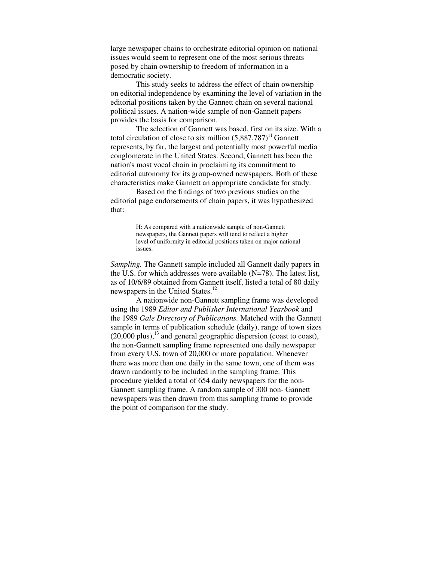large newspaper chains to orchestrate editorial opinion on national issues would seem to represent one of the most serious threats posed by chain ownership to freedom of information in a democratic society.

This study seeks to address the effect of chain ownership on editorial independence by examining the level of variation in the editorial positions taken by the Gannett chain on several national political issues. A nation-wide sample of non-Gannett papers provides the basis for comparison.

The selection of Gannett was based, first on its size. With a total circulation of close to six million  $(5,887,787)^{11}$  Gannett represents, by far, the largest and potentially most powerful media conglomerate in the United States. Second, Gannett has been the nation's most vocal chain in proclaiming its commitment to editorial autonomy for its group-owned newspapers. Both of these characteristics make Gannett an appropriate candidate for study.

Based on the findings of two previous studies on the editorial page endorsements of chain papers, it was hypothesized that:

> H: As compared with a nationwide sample of non-Gannett newspapers, the Gannett papers will tend to reflect a higher level of uniformity in editorial positions taken on major national issues.

*Sampling.* The Gannett sample included all Gannett daily papers in the U.S. for which addresses were available  $(N=78)$ . The latest list, as of 10/6/89 obtained from Gannett itself, listed a total of 80 daily newspapers in the United States.<sup>12</sup>

A nationwide non-Gannett sampling frame was developed using the 1989 *Editor and Publisher International Yearbook* and the 1989 *Gale Directory of Publications.* Matched with the Gannett sample in terms of publication schedule (daily), range of town sizes  $(20,000 \text{ plus})$ ,  $^{13}$  and general geographic dispersion (coast to coast), the non-Gannett sampling frame represented one daily newspaper from every U.S. town of 20,000 or more population. Whenever there was more than one daily in the same town, one of them was drawn randomly to be included in the sampling frame. This procedure yielded a total of 654 daily newspapers for the non-Gannett sampling frame. A random sample of 300 non- Gannett newspapers was then drawn from this sampling frame to provide the point of comparison for the study.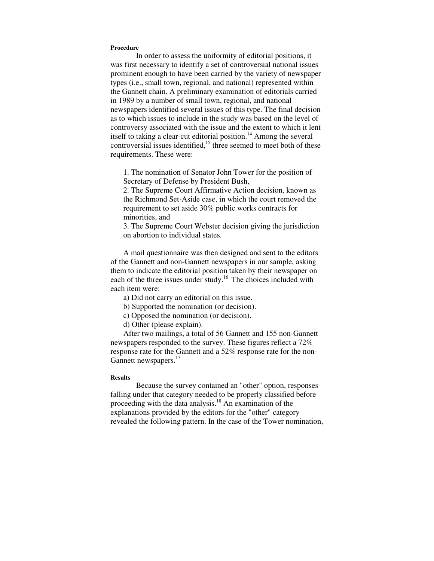#### **Procedure**

In order to assess the uniformity of editorial positions, it was first necessary to identify a set of controversial national issues prominent enough to have been carried by the variety of newspaper types (i.e., small town, regional, and national) represented within the Gannett chain. A preliminary examination of editorials carried in 1989 by a number of small town, regional, and national newspapers identified several issues of this type. The final decision as to which issues to include in the study was based on the level of controversy associated with the issue and the extent to which it lent itself to taking a clear-cut editorial position.<sup>14</sup> Among the several controversial issues identified,<sup>15</sup> three seemed to meet both of these requirements. These were:

1. The nomination of Senator John Tower for the position of Secretary of Defense by President Bush,

2. The Supreme Court Affirmative Action decision, known as the Richmond Set-Aside case, in which the court removed the requirement to set aside 30% public works contracts for minorities, and

3. The Supreme Court Webster decision giving the jurisdiction on abortion to individual states.

A mail questionnaire was then designed and sent to the editors of the Gannett and non-Gannett newspapers in our sample, asking them to indicate the editorial position taken by their newspaper on each of the three issues under study.<sup>16</sup> The choices included with each item were:

a) Did not carry an editorial on this issue.

b) Supported the nomination (or decision).

c) Opposed the nomination (or decision).

d) Other (please explain).

After two mailings, a total of 56 Gannett and 155 non-Gannett newspapers responded to the survey. These figures reflect a 72% response rate for the Gannett and a 52% response rate for the non-Gannett newspapers.<sup>17</sup>

#### **Results**

Because the survey contained an "other" option, responses falling under that category needed to be properly classified before proceeding with the data analysis.<sup>18</sup> An examination of the explanations provided by the editors for the "other" category revealed the following pattern. In the case of the Tower nomination,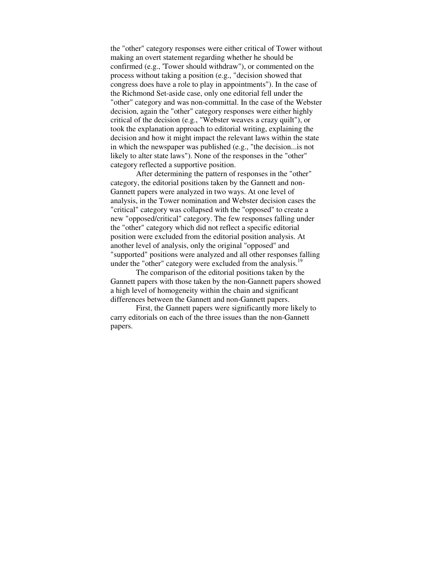the "other" category responses were either critical of Tower without making an overt statement regarding whether he should be confirmed (e.g., 'Tower should withdraw"), or commented on the process without taking a position (e.g., "decision showed that congress does have a role to play in appointments"). In the case of the Richmond Set-aside case, only one editorial fell under the "other" category and was non-committal. In the case of the Webster decision, again the "other" category responses were either highly critical of the decision (e.g., "Webster weaves a crazy quilt"), or took the explanation approach to editorial writing, explaining the decision and how it might impact the relevant laws within the state in which the newspaper was published (e.g., "the decision...is not likely to alter state laws"). None of the responses in the "other" category reflected a supportive position.

After determining the pattern of responses in the "other" category, the editorial positions taken by the Gannett and non-Gannett papers were analyzed in two ways. At one level of analysis, in the Tower nomination and Webster decision cases the "critical" category was collapsed with the "opposed" to create a new "opposed/critical" category. The few responses falling under the "other" category which did not reflect a specific editorial position were excluded from the editorial position analysis. At another level of analysis, only the original "opposed" and "supported" positions were analyzed and all other responses falling under the "other" category were excluded from the analysis.<sup>19</sup>

The comparison of the editorial positions taken by the Gannett papers with those taken by the non-Gannett papers showed a high level of homogeneity within the chain and significant differences between the Gannett and non-Gannett papers.

First, the Gannett papers were significantly more likely to carry editorials on each of the three issues than the non-Gannett papers.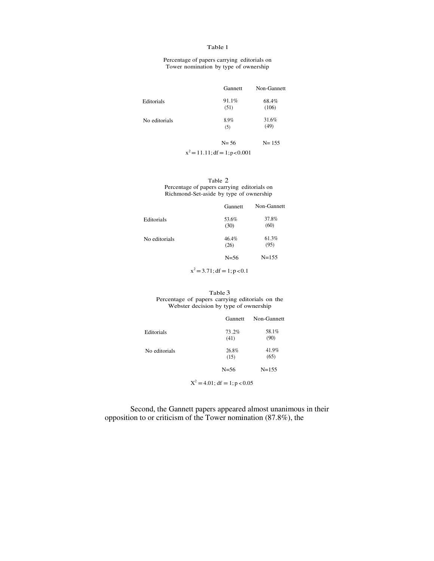#### Table 1

Percentage of papers carrying editorials on Tower nomination by type of ownership

| Gannett                           | Non-Gannett |
|-----------------------------------|-------------|
| 91.1%                             | 68.4%       |
| (51)                              | (106)       |
| 8.9%                              | 31.6%       |
| (5)                               | (49)        |
| $N = 56$                          | $N = 155$   |
| $x^2 = 11.11$ ; df = 1; p < 0.001 |             |
|                                   |             |

Table 2 Percentage of papers carrying editorials on Richmond-Set-aside by type of ownership

|               | Gannett       | Non-Gannett   |
|---------------|---------------|---------------|
| Editorials    | 53.6%<br>(30) | 37.8%<br>(60) |
| No editorials | 46.4%<br>(26) | 61.3%<br>(95) |
|               | $N = 56$      | $N = 155$     |

 $x^2 = 3.71$ ; df = 1; p < 0.1

#### Table 3 Percentage of papers carrying editorials on the Webster decision by type of ownership

|               | Gannett       | Non-Gannett   |
|---------------|---------------|---------------|
| Editorials    | 73.2%<br>(41) | 58.1%<br>(90) |
| No editorials | 26.8%<br>(15) | 41.9%<br>(65) |
|               | $N = 56$      | $N = 155$     |

 $X^2 = 4.01$ ; df = 1; p < 0.05

Second, the Gannett papers appeared almost unanimous in their opposition to or criticism of the Tower nomination (87.8%), the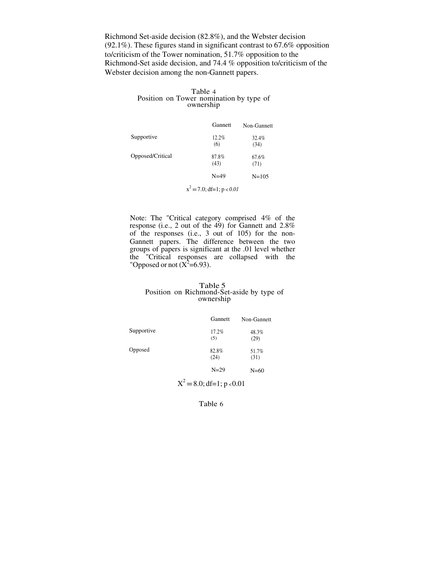Richmond Set-aside decision (82.8%), and the Webster decision (92.1%). These figures stand in significant contrast to 67.6% opposition to/criticism of the Tower nomination, 51.7% opposition to the Richmond-Set aside decision, and 74.4 % opposition to/criticism of the Webster decision among the non-Gannett papers.

#### Table 4 Position on Tower nomination by type of ownership

|                  | Gannett       | Non-Gannett   |
|------------------|---------------|---------------|
| Supportive       | 12.2%<br>(6)  | 32.4%<br>(34) |
| Opposed/Critical | 87.8%<br>(43) | 67.6%<br>(71) |
|                  | $N=49$        | $N = 105$     |
| $\sim$           |               |               |

 $x^2 = 7.0$ ; df=1; p < 0.01

Note: The "Critical category comprised 4% of the response (i.e., 2 out of the 49) for Gannett and 2.8% of the responses (i.e., 3 out of 105) for the non-Gannett papers. The difference between the two groups of papers is significant at the .01 level whether the "Critical responses are collapsed with the "Opposed or not  $(X^2=6.93)$ .

#### Table 5 Position on Richmond-Set-aside by type of ownership

|            | Gannett       | Non-Gannett   |
|------------|---------------|---------------|
| Supportive | 17.2%<br>(5)  | 48.3%<br>(29) |
| Opposed    | 82.8%<br>(24) | 51.7%<br>(31) |
|            | $N=29$        | $N=60$        |

 $X^2 = 8.0; df = 1; p < 0.01$ 

Table 6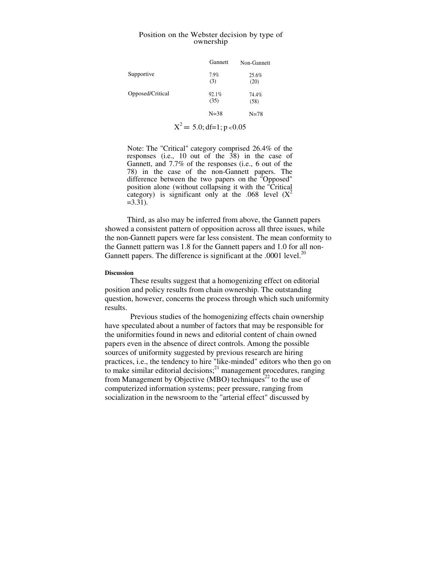#### Position on the Webster decision by type of ownership

|                  | Gannett       | Non-Gannett   |
|------------------|---------------|---------------|
| Supportive       | 7.9%<br>(3)   | 25.6%<br>(20) |
| Opposed/Critical | 92.1%<br>(35) | 74.4%<br>(58) |
|                  | $N = 38$      | $N = 78$      |

$$
X^2 = 5.0; df=1; p<0.05
$$

Note: The "Critical" category comprised 26.4% of the responses (i.e., 10 out of the  $38$ ) in the case of Gannett, and 7.7% of the responses (i.e., 6 out of the 78) in the case of the non-Gannett papers. The difference between the two papers on the "Opposed" position alone (without collapsing it with the "Critical category) is significant only at the .068 level  $(X^2)$  $=3.31$ ).

Third, as also may be inferred from above, the Gannett papers showed a consistent pattern of opposition across all three issues, while the non-Gannett papers were far less consistent. The mean conformity to the Gannett pattern was 1.8 for the Gannett papers and 1.0 for all non-Gannett papers. The difference is significant at the .0001 level. $^{20}$ 

#### **Discussion**

These results suggest that a homogenizing effect on editorial position and policy results from chain ownership. The outstanding question, however, concerns the process through which such uniformity results.

Previous studies of the homogenizing effects chain ownership have speculated about a number of factors that may be responsible for the uniformities found in news and editorial content of chain owned papers even in the absence of direct controls. Among the possible sources of uniformity suggested by previous research are hiring practices, i.e., the tendency to hire "like-minded" editors who then go on to make similar editorial decisions; $^{21}$  management procedures, ranging from Management by Objective (MBO) techniques<sup>22</sup> to the use of computerized information systems; peer pressure, ranging from socialization in the newsroom to the "arterial effect" discussed by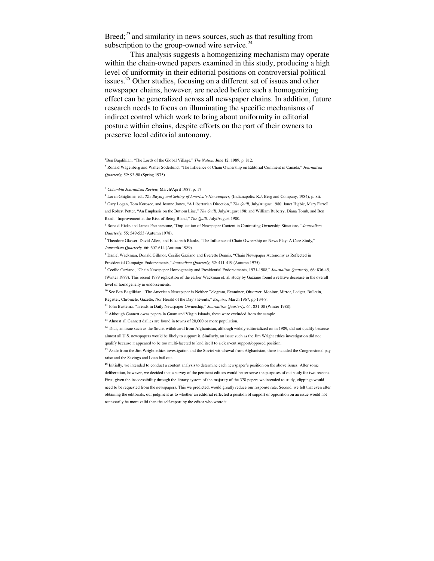Breed; $^{23}$  and similarity in news sources, such as that resulting from subscription to the group-owned wire service. $24$ 

This analysis suggests a homogenizing mechanism may operate within the chain-owned papers examined in this study, producing a high level of uniformity in their editorial positions on controversial political issues.<sup>25</sup> Other studies, focusing on a different set of issues and other newspaper chains, however, are needed before such a homogenizing effect can be generalized across all newspaper chains. In addition, future research needs to focus on illuminating the specific mechanisms of indirect control which work to bring about uniformity in editorial posture within chains, despite efforts on the part of their owners to preserve local editorial autonomy.

 $\overline{a}$ 

<sup>&</sup>lt;sup>1</sup>Ben Bagdikian, "The Lords of the Global Village," *The Nation*, June 12, 1989, p. 812.

<sup>2</sup> Ronald Wagenberg and Walter Soderlund, "The Influence of Chain Ownership on Editorial Comment in Canada," *Journalism Quarterly,* 52: 93-98 (Spring 1975)

<sup>3</sup> *Columbia Journalism Review,* March/April 1987, p. 17

<sup>4</sup> Loren Ghiglione, ed., *The Buying and Selling of America's Newspapers,* (Indianapolis: R.J. Berg and Company, 1984), p. xii. 5 Gary Logan, Tom Korosec, and Joanne Jones, "A Libertarian Direction," *The Quill,* July/August 1980. Janet Higbie, Mary Farrell and Robert Potter, "An Emphasis on the Bottom Line," *The Quill*, July/August 198; and William Ruberry, Diana Tomb, and Ben Read, "Improvement at the Risk of Being Bland," *The Quill,* July/August 1980.

<sup>6</sup> Ronald Hicks and James Featherstone, "Duplication of Newspaper Content in Contrasting Ownership Situations," *Journalism Quarterly,* 55: 549-553 (Autumn 1978).

<sup>7</sup> Theodore Glasser, David Allen, and Elizabeth Blanks, "The Influence of Chain Ownership on News Play: A Case Study," *Journalism Quarterly,* 66: 607-614 (Autumn 1989).

<sup>8</sup> Daniel Wackman, Donald Gillmor, Cecilie Gaziano and Everette Dennis, "Chain Newspaper Autonomy as Reflected in Presidential Campaign Endorsements," *Journalism Quarterly,* 52: 411-419 (Autumn 1975).

<sup>9</sup> Cecilie Gaziano, "Chain Newspaper Homogeneity and Presidential Endorsements, 1971-1988," *Journalism Quarterly,* 66: 836-45, (Winter 1989). This recent 1989 replication of the earlier Wackman et. al. study by Gaziano found a relative decrease in the overall level of homogeneity in endorsements.

<sup>&</sup>lt;sup>10</sup> See Ben Bagdikian, "The American Newspaper is Neither Telegram, Examiner, Observer, Monitor, Mirror, Ledger, Bulletin, Register, Chronicle, Gazette, Nor Herald of the Day's Events," *Esquire,* March 1967, pp 134-8.

<sup>11</sup> John Bustema, "Trends in Daily Newspaper Ownership," *Journalism Quarterly,* 64: 831-38 (Winter 1988).

<sup>&</sup>lt;sup>12</sup> Although Gannett owns papers in Guam and Virgin Islands, these were excluded from the sample.

<sup>&</sup>lt;sup>13</sup> Almost all Gannett dailies are found in towns of 20,000 or more population.

<sup>&</sup>lt;sup>14</sup> Thus, an issue such as the Soviet withdrawal from Afghanistan, although widely editorialized on in 1989, did not qualify because almost all U.S. newspapers would be likely to support it. Similarly, an issue such as the Jim Wright ethics investigation did not qualify because it appeared to be too multi-faceted to lend itself to a clear-cut support/opposed position.

<sup>&</sup>lt;sup>15</sup> Aside from the Jim Wright ethics investigation and the Soviet withdrawal from Afghanistan, these included the Congressional pay raise and the Savings and Loan bail out.

<sup>&</sup>lt;sup>16</sup> Initially, we intended to conduct a content analysis to determine each newspaper's position on the above issues. After some deliberation, however, we decided that a survey of the pertinent editors would better serve the purposes of out study for two reasons. First, given the inaccessibility through the library system of the majority of the 378 papers we intended to study, clippings would need to be requested from the newspapers. This we predicted, would greatly reduce our response rate. Second, we felt that even after obtaining the editorials, our judgment as to whether an editorial reflected a position of support or opposition on an issue would not necessarily be more valid than the self-report by the editor who wrote it.